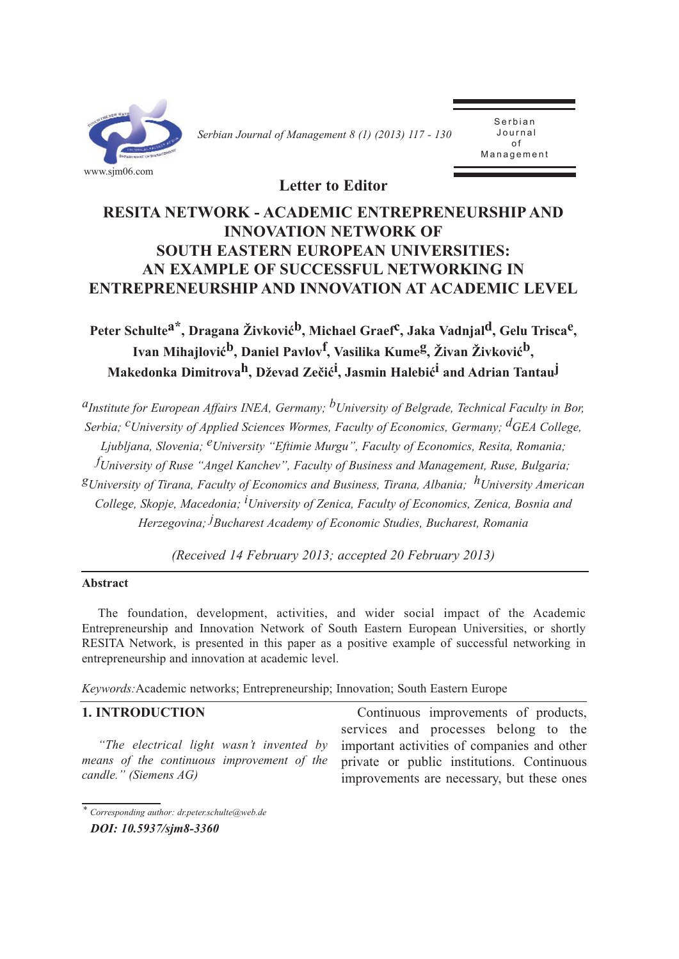

*Serbian Journal of Management 8 (1) (2013) 117 - 130* 

Serbian Journal of  $\overline{a}$ Management

**Letter to Editor**

# **RESITA NETWORK - ACADEMIC ENTREPRENEURSHIP AND INNOVATION NETWORK OF SOUTH EASTERN EUROPEAN UNIVERSITIES: AN EXAMPLE OF SUCCESSFUL NETWORKING IN ENTREPRENEURSHIP AND INNOVATION AT ACADEMIC LEVEL**

Peter Schulte<sup>a\*</sup>, Dragana Živković<sup>b</sup>, Michael Graef<sup>c</sup>, Jaka Vadnjal<sup>d</sup>, Gelu Trisca<sup>e</sup>, **Ivan Mihajlovićb, Daniel Pavlovf, Vasilika Kumeg, Živan Živkovićb, Makedonka Dimitrovah, Dževad Zečići , Jasmin Halebići and Adrian Tantauj**

*aInstitute for European Affairs INEA, Germany; bUniversity of Belgrade, Technical Faculty in Bor, Serbia; cUniversity of Applied Sciences Wormes, Faculty of Economics, Germany; dGEA College, Ljubljana, Slovenia; eUniversity "Eftimie Murgu", Faculty of Economics, Resita, Romania; f University of Ruse "Angel Kanchev", Faculty of Business and Management, Ruse, Bulgaria; gUniversity of Tirana, Faculty of Economics and Business, Tirana, Albania; hUniversity American College, Skopje, Macedonia; i University of Zenica, Faculty of Economics, Zenica, Bosnia and Herzegovina; j Bucharest Academy of Economic Studies, Bucharest, Romania*

*(Received 14 February 2013; accepted 20 February 2013)*

## **Abstract**

The foundation, development, activities, and wider social impact of the Academic Entrepreneurship and Innovation Network of South Eastern European Universities, or shortly RESITA Network, is presented in this paper as a positive example of successful networking in entrepreneurship and innovation at academic level.

*Keywords:*Academic networks; Entrepreneurship; Innovation; South Eastern Europe

## **1. INTRODUCTION**

*"The electrical light wasn't invented by means of the continuous improvement of the candle." (Siemens AG)* 

Continuous improvements of products, services and processes belong to the important activities of companies and other private or public institutions. Continuous improvements are necessary, but these ones

*<sup>\*</sup> Corresponding author: dr.peter.schulte@web.de*

*DOI: 10.5937/sjm8-3360*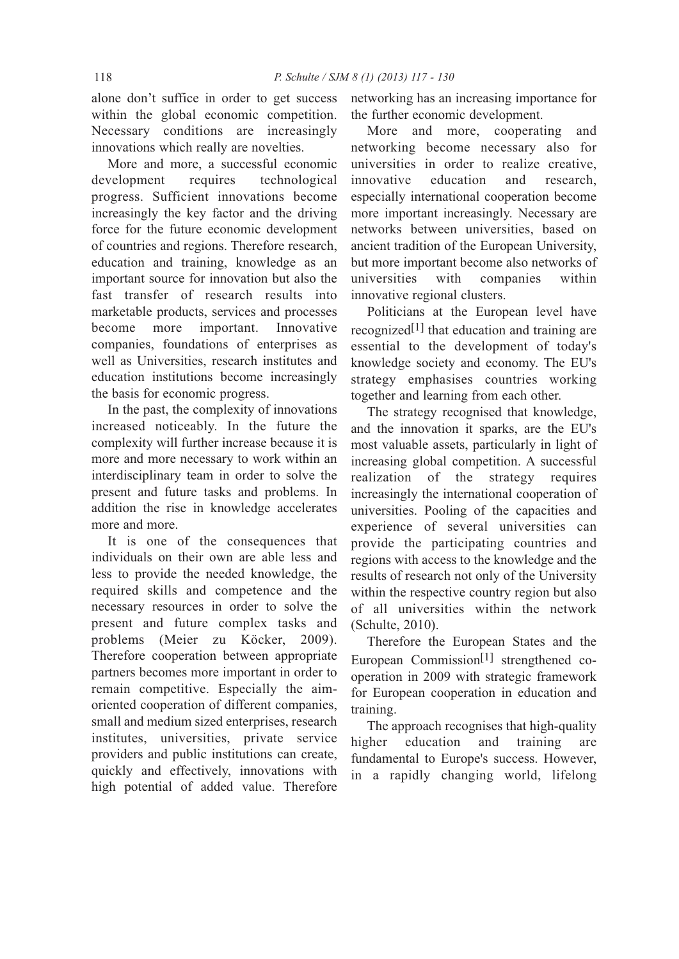alone don't suffice in order to get success within the global economic competition. Necessary conditions are increasingly innovations which really are novelties.

More and more, a successful economic development requires technological progress. Sufficient innovations become increasingly the key factor and the driving force for the future economic development of countries and regions. Therefore research, education and training, knowledge as an important source for innovation but also the fast transfer of research results into marketable products, services and processes become more important. Innovative companies, foundations of enterprises as well as Universities, research institutes and education institutions become increasingly the basis for economic progress.

In the past, the complexity of innovations increased noticeably. In the future the complexity will further increase because it is more and more necessary to work within an interdisciplinary team in order to solve the present and future tasks and problems. In addition the rise in knowledge accelerates more and more.

It is one of the consequences that individuals on their own are able less and less to provide the needed knowledge, the required skills and competence and the necessary resources in order to solve the present and future complex tasks and problems (Meier zu Köcker, 2009). Therefore cooperation between appropriate partners becomes more important in order to remain competitive. Especially the aimoriented cooperation of different companies, small and medium sized enterprises, research institutes, universities, private service providers and public institutions can create, quickly and effectively, innovations with high potential of added value. Therefore

networking has an increasing importance for the further economic development.

More and more, cooperating and networking become necessary also for universities in order to realize creative, innovative education and research, especially international cooperation become more important increasingly. Necessary are networks between universities, based on ancient tradition of the European University, but more important become also networks of universities with companies within innovative regional clusters.

Politicians at the European level have recognized[1] that education and training are essential to the development of today's knowledge society and economy. The EU's strategy emphasises countries working together and learning from each other.

The strategy recognised that knowledge, and the innovation it sparks, are the EU's most valuable assets, particularly in light of increasing global competition. A successful realization of the strategy requires increasingly the international cooperation of universities. Pooling of the capacities and experience of several universities can provide the participating countries and regions with access to the knowledge and the results of research not only of the University within the respective country region but also of all universities within the network (Schulte, 2010).

Therefore the European States and the European Commission<sup>[1]</sup> strengthened cooperation in 2009 with strategic framework for European cooperation in education and training.

The approach recognises that high-quality higher education and training are fundamental to Europe's success. However, in a rapidly changing world, lifelong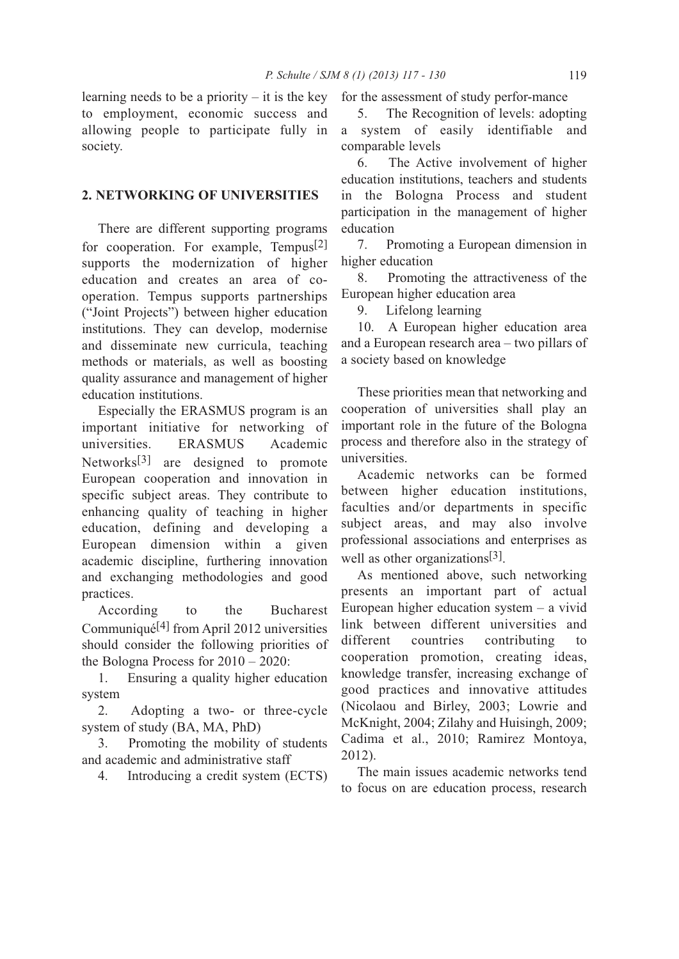learning needs to be a priority  $-$  it is the key to employment, economic success and allowing people to participate fully in society.

## **2. NETWORKING OF UNIVERSITIES**

There are different supporting programs for cooperation. For example, Tempus<sup>[2]</sup> supports the modernization of higher education and creates an area of cooperation. Tempus supports partnerships ("Joint Projects") between higher education institutions. They can develop, modernise and disseminate new curricula, teaching methods or materials, as well as boosting quality assurance and management of higher education institutions.

Especially the ERASMUS program is an important initiative for networking of universities. ERASMUS Academic Networks[3] are designed to promote European cooperation and innovation in specific subject areas. They contribute to enhancing quality of teaching in higher education, defining and developing a European dimension within a given academic discipline, furthering innovation and exchanging methodologies and good practices.

According to the Bucharest Communiqué[4] from April 2012 universities should consider the following priorities of the Bologna Process for 2010 – 2020:

1. Ensuring a quality higher education system

2. Adopting a two- or three-cycle system of study (BA, MA, PhD)

3. Promoting the mobility of students and academic and administrative staff

4. Introducing a credit system (ECTS)

for the assessment of study perfor-mance

5. The Recognition of levels: adopting a system of easily identifiable and comparable levels

6. The Active involvement of higher education institutions, teachers and students in the Bologna Process and student participation in the management of higher education

7. Promoting a European dimension in higher education

8. Promoting the attractiveness of the European higher education area

9. Lifelong learning

10. A European higher education area and a European research area – two pillars of a society based on knowledge

These priorities mean that networking and cooperation of universities shall play an important role in the future of the Bologna process and therefore also in the strategy of universities.

Academic networks can be formed between higher education institutions, faculties and/or departments in specific subject areas, and may also involve professional associations and enterprises as well as other organizations<sup>[3]</sup>.

As mentioned above, such networking presents an important part of actual European higher education system – a vivid link between different universities and different countries contributing to cooperation promotion, creating ideas, knowledge transfer, increasing exchange of good practices and innovative attitudes (Nicolaou and Birley, 2003; Lowrie and McKnight, 2004; Zilahy and Huisingh, 2009; Cadima et al., 2010; Ramirez Montoya, 2012).

The main issues academic networks tend to focus on are education process, research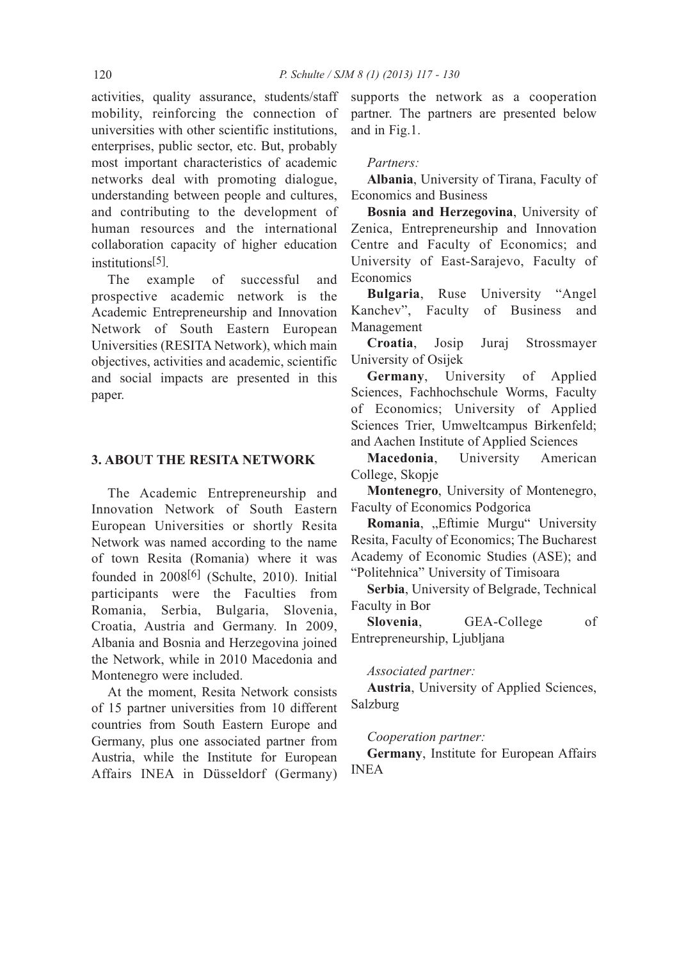activities, quality assurance, students/staff mobility, reinforcing the connection of universities with other scientific institutions, enterprises, public sector, etc. But, probably most important characteristics of academic networks deal with promoting dialogue, understanding between people and cultures, and contributing to the development of human resources and the international collaboration capacity of higher education institutions[5].

The example of successful and prospective academic network is the Academic Entrepreneurship and Innovation Network of South Eastern European Universities (RESITA Network), which main objectives, activities and academic, scientific and social impacts are presented in this paper.

### **3. ABOUT THE RESITA NETWORK**

The Academic Entrepreneurship and Innovation Network of South Eastern European Universities or shortly Resita Network was named according to the name of town Resita (Romania) where it was founded in 2008[6] (Schulte, 2010). Initial participants were the Faculties from Romania, Serbia, Bulgaria, Slovenia, Croatia, Austria and Germany. In 2009, Albania and Bosnia and Herzegovina joined the Network, while in 2010 Macedonia and Montenegro were included.

At the moment, Resita Network consists of 15 partner universities from 10 different countries from South Eastern Europe and Germany, plus one associated partner from Austria, while the Institute for European Affairs INEA in Düsseldorf (Germany) supports the network as a cooperation partner. The partners are presented below and in Fig.1.

## *Partners:*

**Albania**, University of Tirana, Faculty of Economics and Business

**Bosnia and Herzegovina**, University of Zenica, Entrepreneurship and Innovation Centre and Faculty of Economics; and University of East-Sarajevo, Faculty of **Economics** 

**Bulgaria**, Ruse University "Angel Kanchev", Faculty of Business and Management

**Croatia**, Josip Juraj Strossmayer University of Osijek

**Germany**, University of Applied Sciences, Fachhochschule Worms, Faculty of Economics; University of Applied Sciences Trier, Umweltcampus Birkenfeld; and Aachen Institute of Applied Sciences

**Macedonia**, University American College, Skopje

**Montenegro**, University of Montenegro, Faculty of Economics Podgorica

Romania, "Eftimie Murgu" University Resita, Faculty of Economics; The Bucharest Academy of Economic Studies (ASE); and "Politehnica" University of Timisoara

**Serbia**, University of Belgrade, Technical Faculty in Bor

**Slovenia**, GEA-College of Entrepreneurship, Ljubljana

### *Associated partner:*

**Austria**, University of Applied Sciences, Salzburg

### *Cooperation partner:*

**Germany**, Institute for European Affairs INEA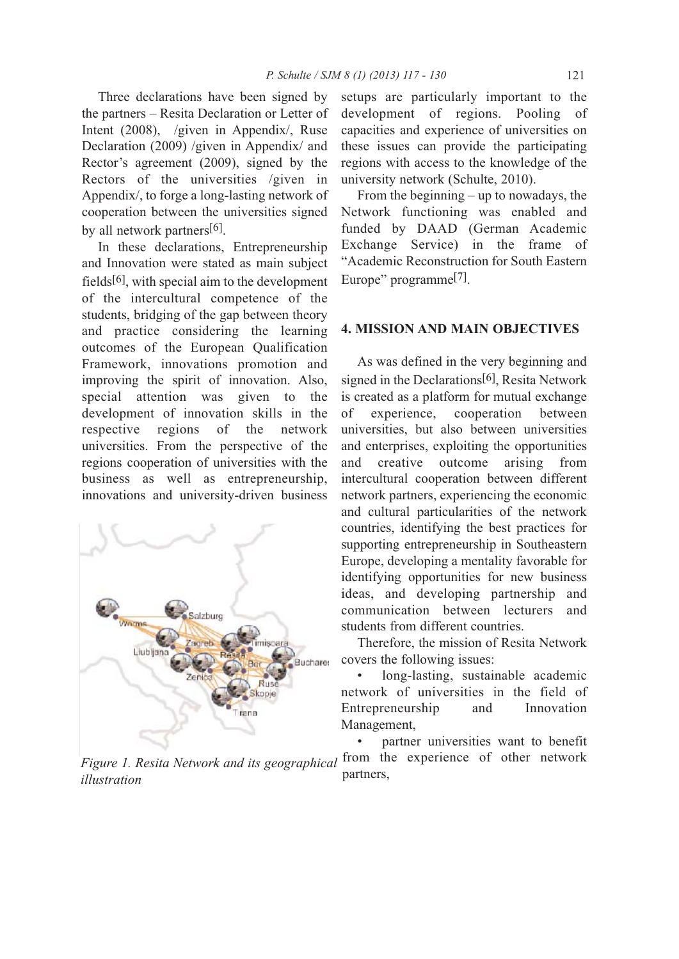Three declarations have been signed by the partners – Resita Declaration or Letter of Intent (2008), /given in Appendix/, Ruse Declaration (2009) /given in Appendix/ and Rector's agreement (2009), signed by the Rectors of the universities /given in Appendix/, to forge a long-lasting network of cooperation between the universities signed by all network partners<sup>[6]</sup>.

In these declarations, Entrepreneurship and Innovation were stated as main subject fields[6], with special aim to the development of the intercultural competence of the students, bridging of the gap between theory and practice considering the learning outcomes of the European Qualification Framework, innovations promotion and improving the spirit of innovation. Also, special attention was given to the development of innovation skills in the respective regions of the network universities. From the perspective of the regions cooperation of universities with the business as well as entrepreneurship, innovations and university-driven business



*Figure 1. Resita Network and its geographical illustration*

setups are particularly important to the development of regions. Pooling of capacities and experience of universities on these issues can provide the participating regions with access to the knowledge of the university network (Schulte, 2010).

From the beginning – up to nowadays, the Network functioning was enabled and funded by DAAD (German Academic Exchange Service) in the frame of "Academic Reconstruction for South Eastern Europe" programme[7].

### **4. MISSION AND MAIN OBJECTIVES**

As was defined in the very beginning and signed in the Declarations<sup>[6]</sup>, Resita Network is created as a platform for mutual exchange of experience, cooperation between universities, but also between universities and enterprises, exploiting the opportunities and creative outcome arising from intercultural cooperation between different network partners, experiencing the economic and cultural particularities of the network countries, identifying the best practices for supporting entrepreneurship in Southeastern Europe, developing a mentality favorable for identifying opportunities for new business ideas, and developing partnership and communication between lecturers and students from different countries.

Therefore, the mission of Resita Network covers the following issues:

long-lasting, sustainable academic network of universities in the field of Entrepreneurship and Innovation Management,

partner universities want to benefit from the experience of other network partners,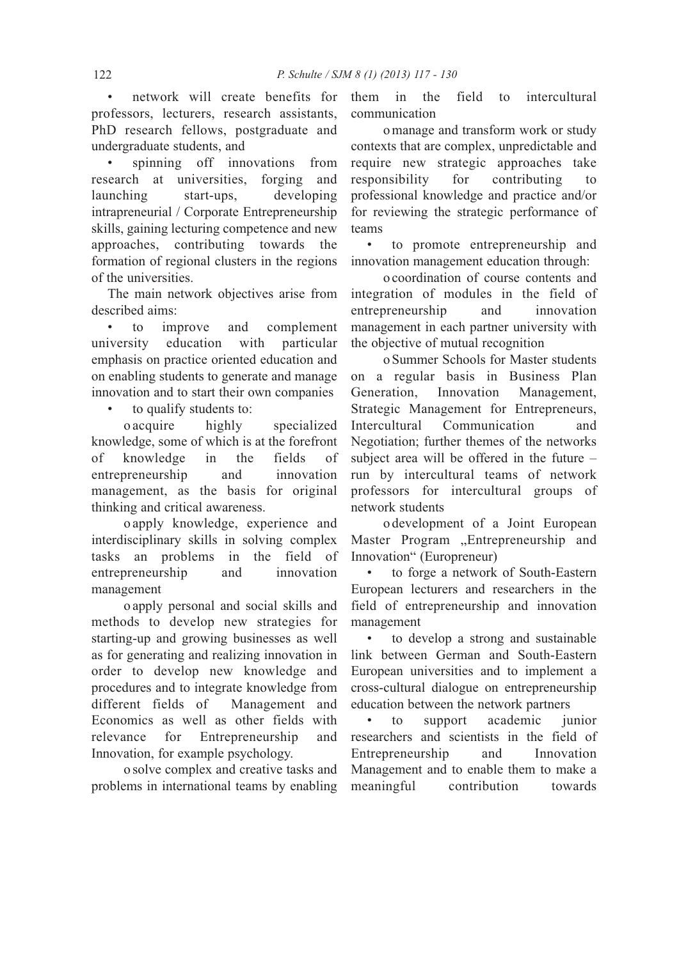• network will create benefits for professors, lecturers, research assistants, PhD research fellows, postgraduate and undergraduate students, and

spinning off innovations from research at universities, forging and launching start-ups, developing intrapreneurial / Corporate Entrepreneurship skills, gaining lecturing competence and new approaches, contributing towards the formation of regional clusters in the regions of the universities.

The main network objectives arise from described aims:

• to improve and complement university education with particular emphasis on practice oriented education and on enabling students to generate and manage innovation and to start their own companies

to qualify students to:

oacquire highly specialized knowledge, some of which is at the forefront of knowledge in the fields of entrepreneurship and innovation management, as the basis for original thinking and critical awareness.

oapply knowledge, experience and interdisciplinary skills in solving complex tasks an problems in the field of entrepreneurship and innovation management

o apply personal and social skills and methods to develop new strategies for starting-up and growing businesses as well as for generating and realizing innovation in order to develop new knowledge and procedures and to integrate knowledge from different fields of Management and Economics as well as other fields with relevance for Entrepreneurship and Innovation, for example psychology.

o solve complex and creative tasks and problems in international teams by enabling them in the field to intercultural communication

o manage and transform work or study contexts that are complex, unpredictable and require new strategic approaches take responsibility for contributing to professional knowledge and practice and/or for reviewing the strategic performance of teams

• to promote entrepreneurship and innovation management education through:

o coordination of course contents and integration of modules in the field of entrepreneurship and innovation management in each partner university with the objective of mutual recognition

o Summer Schools for Master students on a regular basis in Business Plan Generation, Innovation Management, Strategic Management for Entrepreneurs, Intercultural Communication and Negotiation; further themes of the networks subject area will be offered in the future – run by intercultural teams of network professors for intercultural groups of network students

o development of a Joint European Master Program "Entrepreneurship and Innovation" (Europreneur)

to forge a network of South-Eastern European lecturers and researchers in the field of entrepreneurship and innovation management

• to develop a strong and sustainable link between German and South-Eastern European universities and to implement a cross-cultural dialogue on entrepreneurship education between the network partners

• to support academic junior researchers and scientists in the field of Entrepreneurship and Innovation Management and to enable them to make a meaningful contribution towards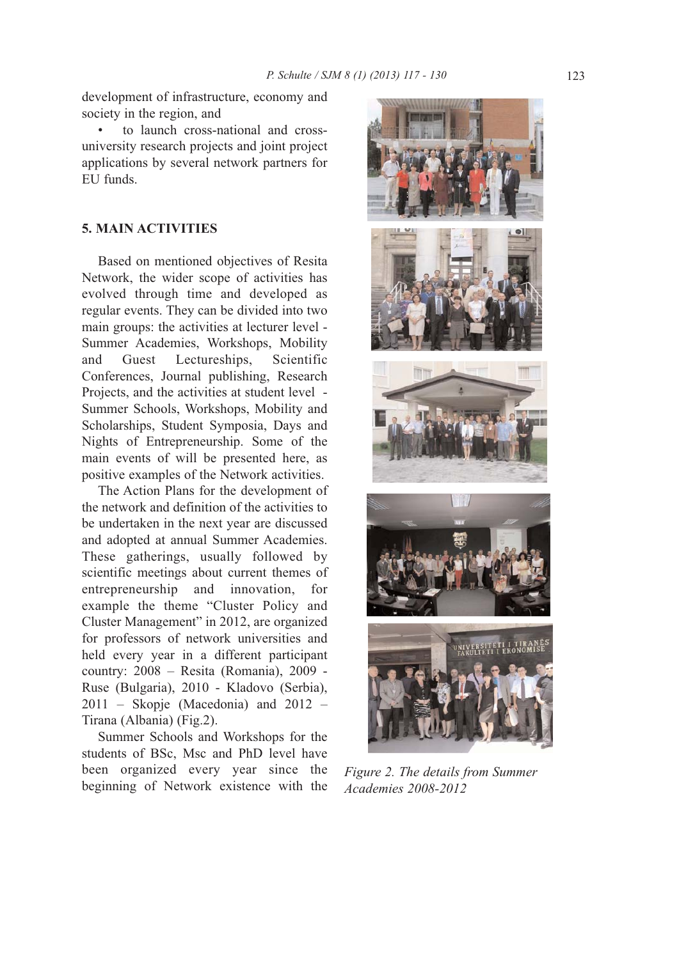development of infrastructure, economy and society in the region, and

• to launch cross-national and crossuniversity research projects and joint project applications by several network partners for EU funds.

## **5. MAIN ACTIVITIES**

Based on mentioned objectives of Resita Network, the wider scope of activities has evolved through time and developed as regular events. They can be divided into two main groups: the activities at lecturer level - Summer Academies, Workshops, Mobility and Guest Lectureships, Scientific Conferences, Journal publishing, Research Projects, and the activities at student level - Summer Schools, Workshops, Mobility and Scholarships, Student Symposia, Days and Nights of Entrepreneurship. Some of the main events of will be presented here, as positive examples of the Network activities.

The Action Plans for the development of the network and definition of the activities to be undertaken in the next year are discussed and adopted at annual Summer Academies. These gatherings, usually followed by scientific meetings about current themes of entrepreneurship and innovation, for example the theme "Cluster Policy and Cluster Management" in 2012, are organized for professors of network universities and held every year in a different participant country: 2008 – Resita (Romania), 2009 - Ruse (Bulgaria), 2010 - Kladovo (Serbia), 2011 – Skopje (Macedonia) and 2012 – Tirana (Albania) (Fig.2).

Summer Schools and Workshops for the students of BSc, Msc and PhD level have been organized every year since the beginning of Network existence with the



*Figure 2. The details from Summer Academies 2008-2012*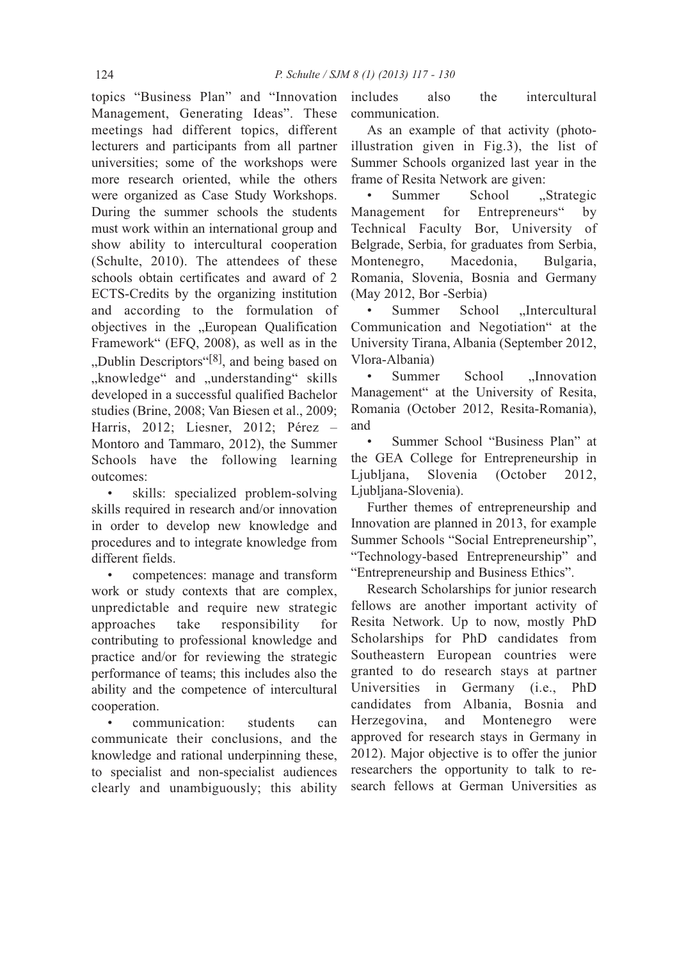topics "Business Plan" and "Innovation Management, Generating Ideas". These meetings had different topics, different lecturers and participants from all partner universities; some of the workshops were more research oriented, while the others were organized as Case Study Workshops. During the summer schools the students must work within an international group and show ability to intercultural cooperation (Schulte, 2010). The attendees of these schools obtain certificates and award of 2 ECTS-Credits by the organizing institution and according to the formulation of objectives in the "European Qualification Framework" (EFQ, 2008), as well as in the "Dublin Descriptors"<sup>[8]</sup>, and being based on "knowledge" and "understanding" skills developed in a successful qualified Bachelor studies (Brine, 2008; Van Biesen et al., 2009; Harris, 2012; Liesner, 2012; Pérez – Montoro and Tammaro, 2012), the Summer Schools have the following learning outcomes:

• skills: specialized problem-solving skills required in research and/or innovation in order to develop new knowledge and procedures and to integrate knowledge from different fields.

• competences: manage and transform work or study contexts that are complex, unpredictable and require new strategic approaches take responsibility for contributing to professional knowledge and practice and/or for reviewing the strategic performance of teams; this includes also the ability and the competence of intercultural cooperation.

• communication: students can communicate their conclusions, and the knowledge and rational underpinning these, to specialist and non-specialist audiences clearly and unambiguously; this ability includes also the intercultural communication.

As an example of that activity (photoillustration given in Fig.3), the list of Summer Schools organized last year in the frame of Resita Network are given:

Summer School .Strategic Management for Entrepreneurs" by Technical Faculty Bor, University of Belgrade, Serbia, for graduates from Serbia, Montenegro, Macedonia, Bulgaria, Romania, Slovenia, Bosnia and Germany (May 2012, Bor -Serbia)

Summer School ..Intercultural Communication and Negotiation" at the University Tirana, Albania (September 2012, Vlora-Albania)

Summer School "Innovation Management" at the University of Resita, Romania (October 2012, Resita-Romania), and

• Summer School "Business Plan" at the GEA College for Entrepreneurship in Ljubljana, Slovenia (October 2012, Ljubljana-Slovenia).

Further themes of entrepreneurship and Innovation are planned in 2013, for example Summer Schools "Social Entrepreneurship", "Technology-based Entrepreneurship" and "Entrepreneurship and Business Ethics".

Research Scholarships for junior research fellows are another important activity of Resita Network. Up to now, mostly PhD Scholarships for PhD candidates from Southeastern European countries were granted to do research stays at partner Universities in Germany (i.e., PhD candidates from Albania, Bosnia and Herzegovina, and Montenegro were approved for research stays in Germany in 2012). Major objective is to offer the junior researchers the opportunity to talk to research fellows at German Universities as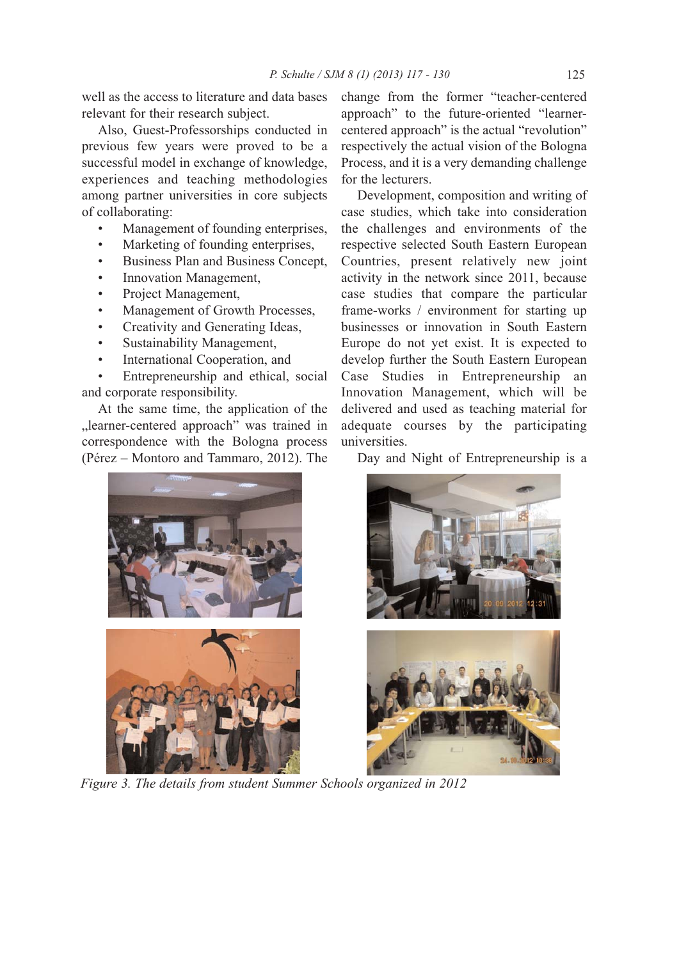well as the access to literature and data bases relevant for their research subject.

Also, Guest-Professorships conducted in previous few years were proved to be a successful model in exchange of knowledge, experiences and teaching methodologies among partner universities in core subjects of collaborating:

- Management of founding enterprises,
- Marketing of founding enterprises,
- Business Plan and Business Concept,
- Innovation Management,
- Project Management,
- Management of Growth Processes,
- Creativity and Generating Ideas,
- Sustainability Management,
- International Cooperation, and

• Entrepreneurship and ethical, social and corporate responsibility.

At the same time, the application of the "learner-centered approach" was trained in correspondence with the Bologna process (Pérez – Montoro and Tammaro, 2012). The

change from the former "teacher-centered approach" to the future-oriented "learnercentered approach" is the actual "revolution" respectively the actual vision of the Bologna Process, and it is a very demanding challenge for the lecturers.

Development, composition and writing of case studies, which take into consideration the challenges and environments of the respective selected South Eastern European Countries, present relatively new joint activity in the network since 2011, because case studies that compare the particular frame-works / environment for starting up businesses or innovation in South Eastern Europe do not yet exist. It is expected to develop further the South Eastern European Case Studies in Entrepreneurship an Innovation Management, which will be delivered and used as teaching material for adequate courses by the participating universities.



*Figure 3. The details from student Summer Schools organized in 2012*

Day and Night of Entrepreneurship is a

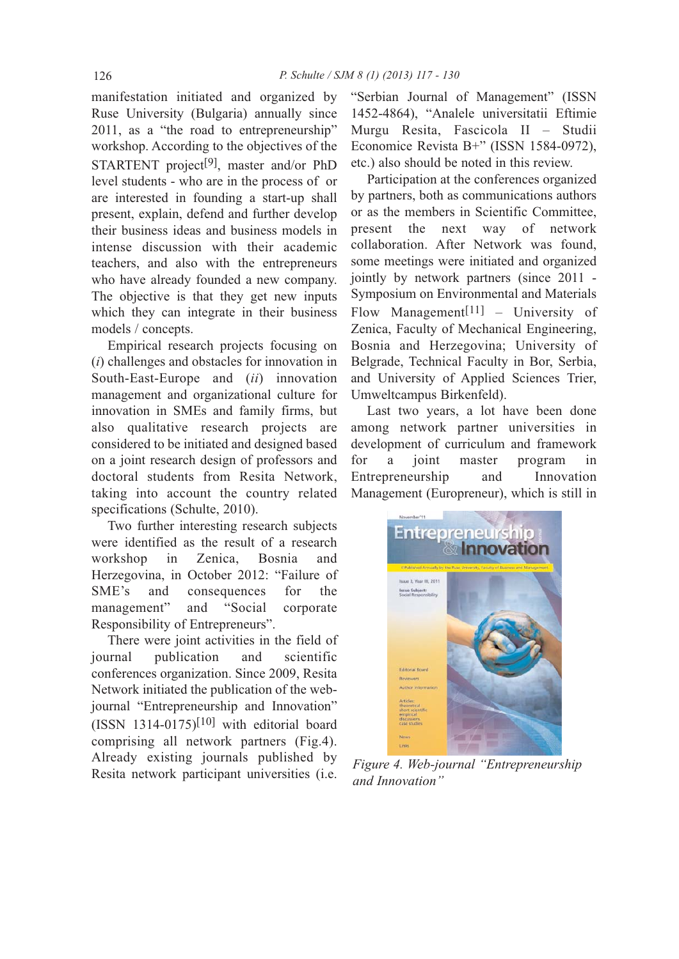manifestation initiated and organized by Ruse University (Bulgaria) annually since 2011, as a "the road to entrepreneurship" workshop. According to the objectives of the STARTENT project[9], master and/or PhD level students - who are in the process of or are interested in founding a start-up shall present, explain, defend and further develop their business ideas and business models in intense discussion with their academic teachers, and also with the entrepreneurs who have already founded a new company. The objective is that they get new inputs which they can integrate in their business models / concepts.

Empirical research projects focusing on (*i*) challenges and obstacles for innovation in South-East-Europe and (*ii*) innovation management and organizational culture for innovation in SMEs and family firms, but also qualitative research projects are considered to be initiated and designed based on a joint research design of professors and doctoral students from Resita Network, taking into account the country related specifications (Schulte, 2010).

Two further interesting research subjects were identified as the result of a research workshop in Zenica, Bosnia and Herzegovina, in October 2012: "Failure of SME's and consequences for the management" and "Social corporate Responsibility of Entrepreneurs".

There were joint activities in the field of journal publication and scientific conferences organization. Since 2009, Resita Network initiated the publication of the webjournal "Entrepreneurship and Innovation"  $(ISSN 1314-0175)^{[10]}$  with editorial board comprising all network partners (Fig.4). Already existing journals published by Resita network participant universities (i.e.

"Serbian Journal of Management" (ISSN 1452-4864), "Analele universitatii Eftimie Murgu Resita, Fascicola II – Studii Economice Revista B+" (ISSN 1584-0972), etc.) also should be noted in this review.

Participation at the conferences organized by partners, both as communications authors or as the members in Scientific Committee, present the next way of network collaboration. After Network was found, some meetings were initiated and organized jointly by network partners (since 2011 - Symposium on Environmental and Materials Flow Management<sup>[11]</sup> – University of Zenica, Faculty of Mechanical Engineering, Bosnia and Herzegovina; University of Belgrade, Technical Faculty in Bor, Serbia, and University of Applied Sciences Trier, Umweltcampus Birkenfeld).

Last two years, a lot have been done among network partner universities in development of curriculum and framework for a joint master program in Entrepreneurship and Innovation Management (Europreneur), which is still in



*Figure 4. Web-journal "Entrepreneurship and Innovation"*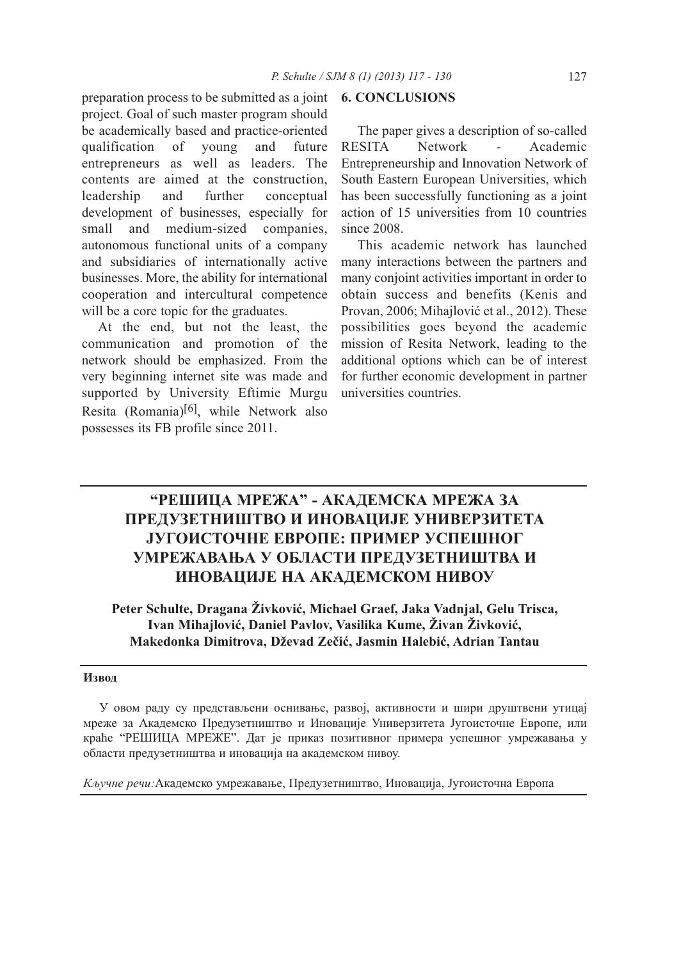preparation process to be submitted as a joint **6. CONCLUSIONS** project. Goal of such master program should be academically based and practice-oriented qualification of young and future entrepreneurs as well as leaders. The contents are aimed at the construction, leadership and further conceptual development of businesses, especially for small and medium-sized companies, autonomous functional units of a company and subsidiaries of internationally active businesses. More, the ability for international cooperation and intercultural competence will be a core topic for the graduates.

At the end, but not the least, the communication and promotion of the network should be emphasized. From the very beginning internet site was made and supported by University Eftimie Murgu Resita (Romania)[6], while Network also possesses its FB profile since 2011.

The paper gives a description of so-called RESITA Network - Academic Entrepreneurship and Innovation Network of South Eastern European Universities, which has been successfully functioning as a joint action of 15 universities from 10 countries since 2008.

This academic network has launched many interactions between the partners and many conjoint activities important in order to obtain success and benefits (Kenis and Provan, 2006; Mihajlović et al., 2012). These possibilities goes beyond the academic mission of Resita Network, leading to the additional options which can be of interest for further economic development in partner universities countries.

# **"РЕШИЦА МРЕЖА" - АКАДЕМСКА МРЕЖА ЗА ПРЕДУЗЕТНИШТВО И ИНОВАЦИЈЕ УНИВЕРЗИТЕТА ЈУГОИСТОЧНЕ ЕВРОПЕ: ПРИМЕР УСПЕШНОГ УМРЕЖАВАЊА У ОБЛАСТИ ПРЕДУЗЕТНИШТВА И ИНОВАЦИЈЕ НА АКАДЕМСКОМ НИВОУ**

**Peter Schulte, Dragana Živković, Michael Graef, Jaka Vadnjal, Gelu Trisca, Ivan Mihajlović, Daniel Pavlov, Vasilika Kume, Živan Živković, Makedonka Dimitrova, Dževad Zečić, Jasmin Halebić, Adrian Tantau**

## **Извод**

У овом раду су представљени оснивање, развој, активности и шири друштвени утицај мреже за Академско Предузетништво и Иновације Универзитета Југоисточне Европе, или краће "РЕШИЦА МРЕЖЕ". Дат је приказ позитивног примера успешног умрежавања у области предузетништва и иновација на академском нивоу.

*Кључне речи:*Академско умрежавање, Предузетништво, Иновација, Југоисточна Европа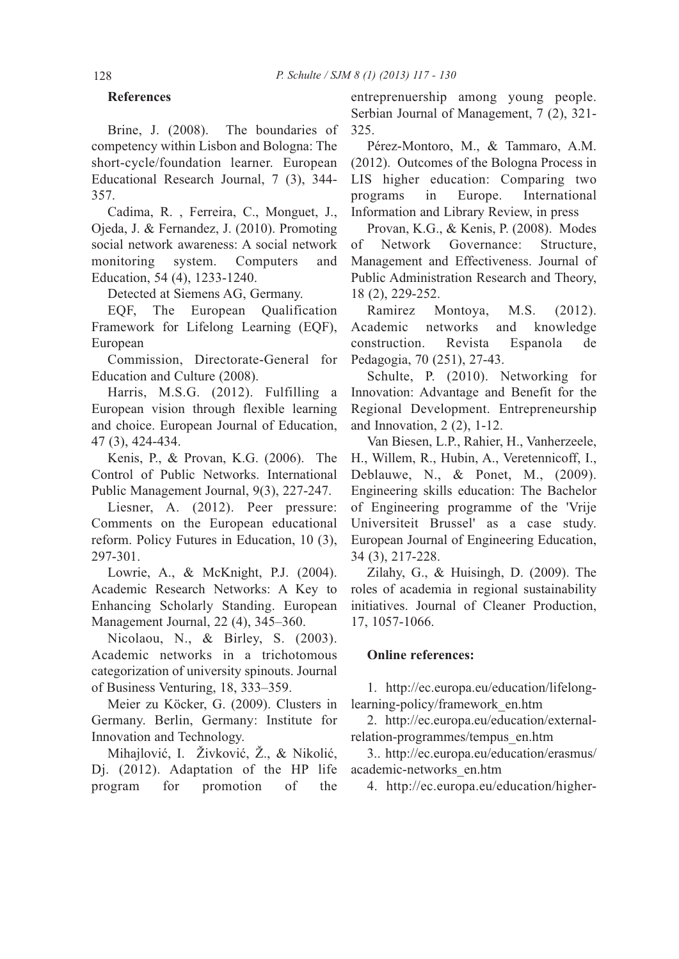## **References**

Brine, J. (2008). The boundaries of competency within Lisbon and Bologna: The short-cycle/foundation learner. European Educational Research Journal, 7 (3), 344- 357.

Cadima, R. , Ferreira, C., Monguet, J., Ojeda, J. & Fernandez, J. (2010). Promoting social network awareness: A social network monitoring system. Computers and Education, 54 (4), 1233-1240.

Detected at Siemens AG, Germany.

EQF, The European Qualification Framework for Lifelong Learning (EQF), European

Commission, Directorate-General for Education and Culture (2008).

Harris, M.S.G. (2012). Fulfilling a European vision through flexible learning and choice. European Journal of Education, 47 (3), 424-434.

Kenis, P., & Provan, K.G. (2006). The Control of Public Networks. International Public Management Journal, 9(3), 227-247.

Liesner, A. (2012). Peer pressure: Comments on the European educational reform. Policy Futures in Education, 10 (3), 297-301.

Lowrie, A., & McKnight, P.J. (2004). Academic Research Networks: A Key to Enhancing Scholarly Standing. European Management Journal, 22 (4), 345–360.

Nicolaou, N., & Birley, S. (2003). Academic networks in a trichotomous categorization of university spinouts. Journal of Business Venturing, 18, 333–359.

Meier zu Köcker, G. (2009). Clusters in Germany. Berlin, Germany: Institute for Innovation and Technology.

Mihajlović, I. Živković, Ž., & Nikolić, Dj. (2012). Adaptation of the HP life program for promotion of the

entreprenuership among young people. Serbian Journal of Management, 7 (2), 321- 325.

Pérez-Montoro, M., & Tammaro, A.M. (2012). Outcomes of the Bologna Process in LIS higher education: Comparing two programs in Europe. International Information and Library Review, in press

Provan, K.G., & Kenis, P. (2008). Modes of Network Governance: Structure, Management and Effectiveness. Journal of Public Administration Research and Theory, 18 (2), 229-252.

Ramirez Montoya, M.S. (2012). Academic networks and knowledge construction. Revista Espanola de Pedagogia, 70 (251), 27-43.

Schulte, P. (2010). Networking for Innovation: Advantage and Benefit for the Regional Development. Entrepreneurship and Innovation, 2 (2), 1-12.

Van Biesen, L.P., Rahier, H., Vanherzeele, H., Willem, R., Hubin, A., Veretennicoff, I., Deblauwe, N., & Ponet, M., (2009). Engineering skills education: The Bachelor of Engineering programme of the 'Vrije Universiteit Brussel' as a case study. European Journal of Engineering Education, 34 (3), 217-228.

Zilahy, G., & Huisingh, D. (2009). The roles of academia in regional sustainability initiatives. Journal of Cleaner Production, 17, 1057-1066.

## **Online references:**

1. http://ec.europa.eu/education/lifelonglearning-policy/framework\_en.htm

2. http://ec.europa.eu/education/externalrelation-programmes/tempus\_en.htm

3.. http://ec.europa.eu/education/erasmus/ academic-networks\_en.htm

4. http://ec.europa.eu/education/higher-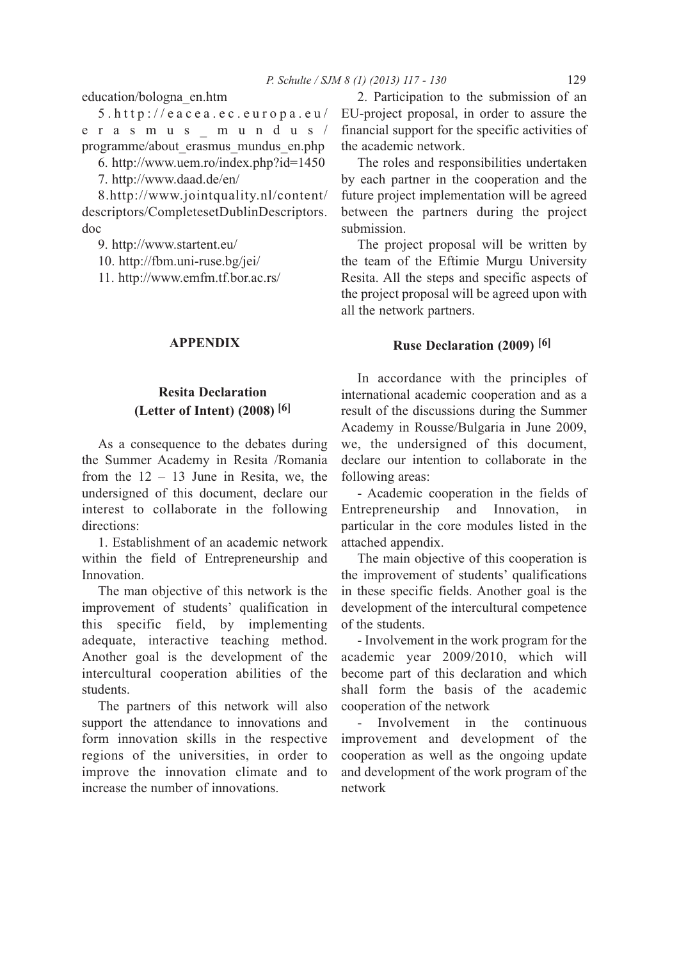education/bologna\_en.htm

5.http://eacea.ec.europa.eu/ erasmus\_mundus/ programme/about\_erasmus\_mundus\_en.php

6. http://www.uem.ro/index.php?id=1450

7. http://www.daad.de/en/

8.http://www.jointquality.nl/content/ descriptors/CompletesetDublinDescriptors. doc

9. http://www.startent.eu/

10. http://fbm.uni-ruse.bg/jei/

11. http://www.emfm.tf.bor.ac.rs/

## **APPENDIX**

## **Resita Declaration (Letter of Intent) (2008) [6]**

As a consequence to the debates during the Summer Academy in Resita /Romania from the  $12 - 13$  June in Resita, we, the undersigned of this document, declare our interest to collaborate in the following directions:

1. Establishment of an academic network within the field of Entrepreneurship and Innovation.

The man objective of this network is the improvement of students' qualification in this specific field, by implementing adequate, interactive teaching method. Another goal is the development of the intercultural cooperation abilities of the students.

The partners of this network will also support the attendance to innovations and form innovation skills in the respective regions of the universities, in order to improve the innovation climate and to increase the number of innovations.

2. Participation to the submission of an EU-project proposal, in order to assure the financial support for the specific activities of the academic network.

The roles and responsibilities undertaken by each partner in the cooperation and the future project implementation will be agreed between the partners during the project submission.

The project proposal will be written by the team of the Eftimie Murgu University Resita. All the steps and specific aspects of the project proposal will be agreed upon with all the network partners.

## **Ruse Declaration (2009) [6]**

In accordance with the principles of international academic cooperation and as a result of the discussions during the Summer Academy in Rousse/Bulgaria in June 2009, we, the undersigned of this document, declare our intention to collaborate in the following areas:

- Academic cooperation in the fields of Entrepreneurship and Innovation, in particular in the core modules listed in the attached appendix.

The main objective of this cooperation is the improvement of students' qualifications in these specific fields. Another goal is the development of the intercultural competence of the students.

- Involvement in the work program for the academic year 2009/2010, which will become part of this declaration and which shall form the basis of the academic cooperation of the network

Involvement in the continuous improvement and development of the cooperation as well as the ongoing update and development of the work program of the network